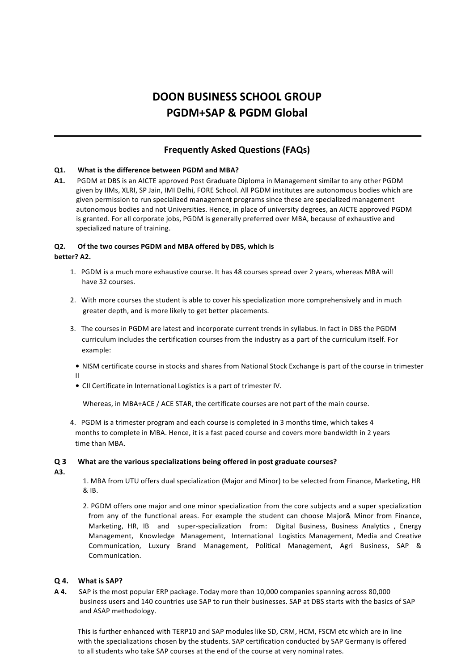# **DOON BUSINESS SCHOOL GROUP PGDM+SAP & PGDM Global**

# **Frequently Asked Questions (FAQs)**

# **Q1. What is the difference between PGDM and MBA?**

**A1.** PGDM at DBS is an AICTE approved Post Graduate Diploma in Management similar to any other PGDM given by IIMs, XLRI, SP Jain, IMI Delhi, FORE School. All PGDM institutes are autonomous bodies which are given permission to run specialized management programs since these are specialized management autonomous bodies and not Universities. Hence, in place of university degrees, an AICTE approved PGDM is granted. For all corporate jobs, PGDM is generally preferred over MBA, because of exhaustive and specialized nature of training.

# **Q2. Of the two courses PGDM and MBA offered by DBS, which is**

# **better? A2.**

II

- 1. PGDM is a much more exhaustive course. It has 48 courses spread over 2 years, whereas MBA will have 32 courses.
- 2. With more courses the student is able to cover his specialization more comprehensively and in much greater depth, and is more likely to get better placements.
- 3. The courses in PGDM are latest and incorporate current trends in syllabus. In fact in DBS the PGDM curriculum includes the certification courses from the industry as a part of the curriculum itself. For example:
	- NISM certificate course in stocks and shares from National Stock Exchange is part of the course in trimester
	- CII Certificate in International Logistics is a part of trimester IV.

Whereas, in MBA+ACE / ACE STAR, the certificate courses are not part of the main course.

4. PGDM is a trimester program and each course is completed in 3 months time, which takes 4 months to complete in MBA. Hence, it is a fast paced course and covers more bandwidth in 2 years time than MBA.

# **Q 3 What are the various specializations being offered in post graduate courses?**

**A3.**

1. MBA from UTU offers dual specialization (Major and Minor) to be selected from Finance, Marketing, HR & IB.

2. PGDM offers one major and one minor specialization from the core subjects and a super specialization from any of the functional areas. For example the student can choose Major& Minor from Finance, Marketing, HR, IB and super-specialization from: Digital Business, Business Analytics , Energy Management, Knowledge Management, International Logistics Management, Media and Creative Communication, Luxury Brand Management, Political Management, Agri Business, SAP & Communication.

# **Q 4. What is SAP?**

**A 4.** SAP is the most popular ERP package. Today more than 10,000 companies spanning across 80,000 business users and 140 countries use SAP to run their businesses. SAP at DBS starts with the basics of SAP and ASAP methodology.

This is further enhanced with TERP10 and SAP modules like SD, CRM, HCM, FSCM etc which are in line with the specializations chosen by the students. SAP certification conducted by SAP Germany is offered to all students who take SAP courses at the end of the course at very nominal rates.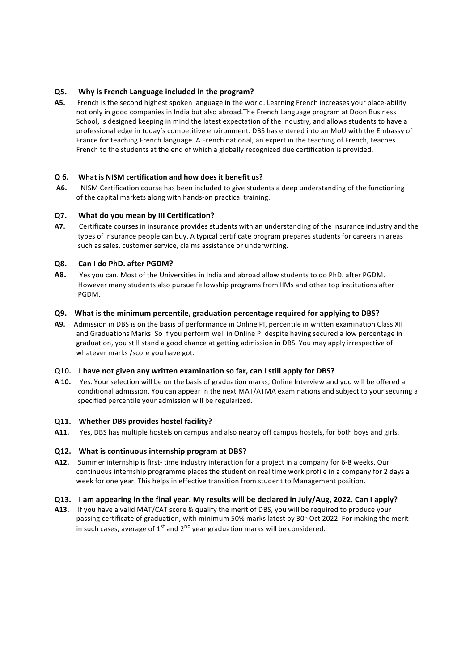# **Q5. Why is French Language included in the program?**

**A5.** French is the second highest spoken language in the world. Learning French increases your place-ability not only in good companies in India but also abroad.The French Language program at Doon Business School, is designed keeping in mind the latest expectation of the industry, and allows students to have a professional edge in today's competitive environment. DBS has entered into an MoU with the Embassy of France for teaching French language. A French national, an expert in the teaching of French, teaches French to the students at the end of which a globally recognized due certification is provided.

#### **Q 6. What is NISM certification and how does it benefit us?**

**A6.** NISM Certification course has been included to give students a deep understanding of the functioning of the capital markets along with hands-on practical training.

#### **Q7. What do you mean by III Certification?**

**A7.** Certificate courses in insurance provides students with an understanding of the insurance industry and the types of insurance people can buy. A typical certificate program prepares students for careers in areas such as sales, customer service, claims assistance or underwriting.

#### **Q8. Can I do PhD. after PGDM?**

**A8.** Yes you can. Most of the Universities in India and abroad allow students to do PhD. after PGDM. However many students also pursue fellowship programs from IIMs and other top institutions after PGDM.

#### **Q9. What is the minimum percentile, graduation percentage required for applying to DBS?**

**A9.** Admission in DBS is on the basis of performance in Online PI, percentile in written examination Class XII and Graduations Marks. So if you perform well in Online PI despite having secured a low percentage in graduation, you still stand a good chance at getting admission in DBS. You may apply irrespective of whatever marks /score you have got.

#### **Q10. I have not given any written examination so far, can I still apply for DBS?**

**A 10.** Yes. Your selection will be on the basis of graduation marks, Online Interview and you will be offered a conditional admission. You can appear in the next MAT/ATMA examinations and subject to your securing a specified percentile your admission will be regularized.

#### **Q11. Whether DBS provides hostel facility?**

**A11.** Yes, DBS has multiple hostels on campus and also nearby off campus hostels, for both boys and girls.

# **Q12. What is continuous internship program at DBS?**

**A12.** Summer internship is first- time industry interaction for a project in a company for 6-8 weeks. Our continuous internship programme places the student on real time work profile in a company for 2 days a week for one year. This helps in effective transition from student to Management position.

#### **Q13. I am appearing in the final year. My results will be declared in July/Aug, 2022. Can I apply?**

**A13.** If you have a valid MAT/CAT score & qualify the merit of DBS, you will be required to produce your passing certificate of graduation, with minimum 50% marks latest by 30th Oct 2022. For making the merit in such cases, average of  $1<sup>st</sup>$  and  $2<sup>nd</sup>$  year graduation marks will be considered.